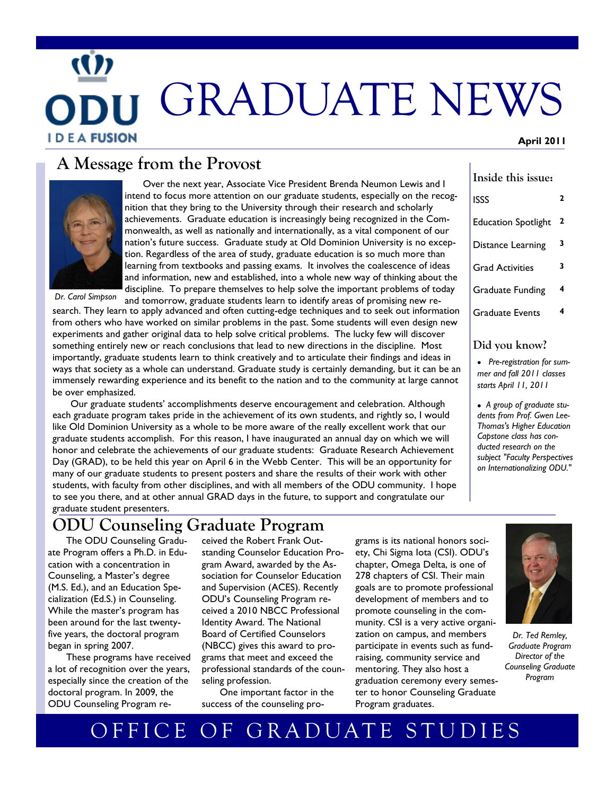# GRADUATE NEWS **IDEAFUSION April 2011**

#### **A Message from the Provost**



Over the next year, Associate Vice President Brenda Neumon Lewis and I intend to focus more attention on our graduate students, especially on the recognition that they bring to the University through their research and scholarly achievements. Graduate education is increasingly being recognized in the Commonwealth, as well as nationally and internationally, as a vital component of our nation's future success. Graduate study at Old Dominion University is no exception. Regardless of the area of study, graduate education is so much more than learning from textbooks and passing exams. It involves the coalescence of ideas and information, new and established, into a whole new way of thinking about the discipline. To prepare themselves to help solve the important problems of today

and tomorrow, graduate students learn to identify areas of promising new research. They learn to apply advanced and often cutting-edge techniques and to seek out information from others who have worked on similar problems in the past. Some students will even design new experiments and gather original data to help solve critical problems. The lucky few will discover something entirely new or reach conclusions that lead to new directions in the discipline. Most importantly, graduate students learn to think creatively and to articulate their findings and ideas in ways that society as a whole can understand. Graduate study is certainly demanding, but it can be an immensely rewarding experience and its benefit to the nation and to the community at large cannot be over emphasized. *Dr. Carol Simpson*

Our graduate students' accomplishments deserve encouragement and celebration. Although each graduate program takes pride in the achievement of its own students, and rightly so, I would like Old Dominion University as a whole to be more aware of the really excellent work that our graduate students accomplish. For this reason, I have inaugurated an annual day on which we will honor and celebrate the achievements of our graduate students: Graduate Research Achievement Day (GRAD), to be held this year on April 6 in the Webb Center. This will be an opportunity for many of our graduate students to present posters and share the results of their work with other students, with faculty from other disciplines, and with all members of the ODU community. I hope to see you there, and at other annual GRAD days in the future, to support and congratulate our graduate student presenters.

#### **ODU Counseling Graduate Program**

The ODU Counseling Graduate Program offers a Ph.D. in Education with a concentration in Counseling, a Master's degree (M.S. Ed.), and an Education Specialization (Ed.S.) in Counseling. While the master's program has been around for the last twentyfive years, the doctoral program began in spring 2007.

These programs have received a lot of recognition over the years, especially since the creation of the doctoral program. In 2009, the ODU Counseling Program received the Robert Frank Outstanding Counselor Education Program Award, awarded by the Association for Counselor Education and Supervision (ACES). Recently ODU's Counseling Program received a 2010 NBCC Professional Identity Award. The National Board of Certified Counselors (NBCC) gives this award to programs that meet and exceed the professional standards of the counseling profession.

One important factor in the success of the counseling programs is its national honors society, Chi Sigma Iota (CSI). ODU's chapter, Omega Delta, is one of 278 chapters of CSI. Their main goals are to promote professional development of members and to promote counseling in the community. CSI is a very active organization on campus, and members participate in events such as fundraising, community service and mentoring. They also host a graduation ceremony every semester to honor Counseling Graduate Program graduates.

| 3<br>Distance Learning<br>3<br><b>Grad Activities</b><br>4<br><b>Graduate Funding</b><br>4<br><b>Graduate Events</b><br>Did you know? | <b>Education Spotlight</b> | 2 |
|---------------------------------------------------------------------------------------------------------------------------------------|----------------------------|---|
|                                                                                                                                       |                            |   |
|                                                                                                                                       |                            |   |
|                                                                                                                                       |                            |   |
|                                                                                                                                       |                            |   |
| Pre-registration for sum-<br>mer and fall 2011 classes                                                                                |                            |   |

**Inside this issue:**

ISSS **2**

 *A group of graduate students from Prof. Gwen Lee-Thomas's Higher Education Capstone class has conducted research on the subject "Faculty Perspectives on Internationalizing ODU."*

> *Dr. Ted Remley, Graduate Program Director of the Counseling Graduate Program*

*starts April 11, 2011*

# OFFICE OF GRADUATE STUDIES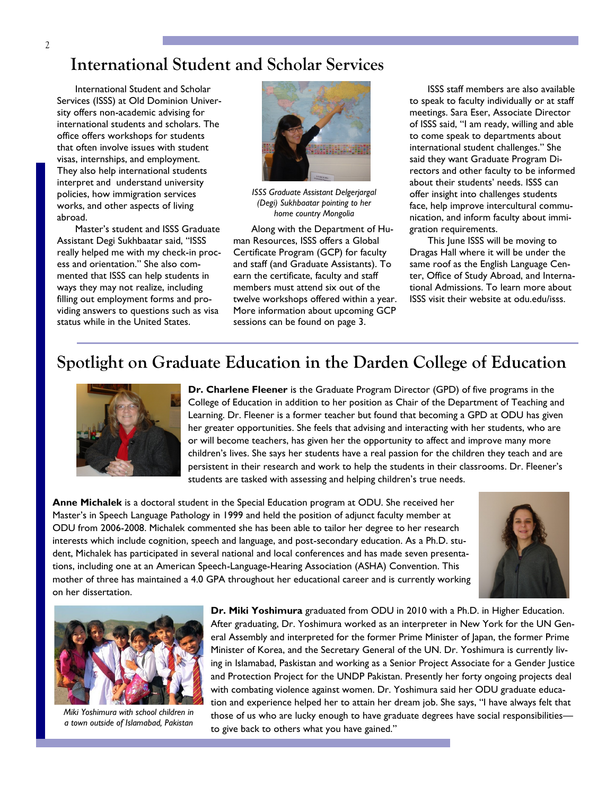#### **International Student and Scholar Services**

International Student and Scholar Services (ISSS) at Old Dominion University offers non-academic advising for international students and scholars. The office offers workshops for students that often involve issues with student visas, internships, and employment. They also help international students interpret and understand university policies, how immigration services works, and other aspects of living abroad.

Master's student and ISSS Graduate Assistant Degi Sukhbaatar said, "ISSS really helped me with my check-in process and orientation." She also commented that ISSS can help students in ways they may not realize, including filling out employment forms and providing answers to questions such as visa status while in the United States.



*ISSS Graduate Assistant Delgerjargal (Degi) Sukhbaatar pointing to her home country Mongolia*

Along with the Department of Human Resources, ISSS offers a Global Certificate Program (GCP) for faculty and staff (and Graduate Assistants). To earn the certificate, faculty and staff members must attend six out of the twelve workshops offered within a year. More information about upcoming GCP sessions can be found on page 3.

ISSS staff members are also available to speak to faculty individually or at staff meetings. Sara Eser, Associate Director of ISSS said, "I am ready, willing and able to come speak to departments about international student challenges." She said they want Graduate Program Directors and other faculty to be informed about their students' needs. ISSS can offer insight into challenges students face, help improve intercultural communication, and inform faculty about immigration requirements.

This June ISSS will be moving to Dragas Hall where it will be under the same roof as the English Language Center, Office of Study Abroad, and International Admissions. To learn more about ISSS visit their website at odu.edu/isss.

#### **Spotlight on Graduate Education in the Darden College of Education**



**Dr. Charlene Fleener** is the Graduate Program Director (GPD) of five programs in the College of Education in addition to her position as Chair of the Department of Teaching and Learning. Dr. Fleener is a former teacher but found that becoming a GPD at ODU has given her greater opportunities. She feels that advising and interacting with her students, who are or will become teachers, has given her the opportunity to affect and improve many more children's lives. She says her students have a real passion for the children they teach and are persistent in their research and work to help the students in their classrooms. Dr. Fleener's students are tasked with assessing and helping children's true needs.

**Anne Michalek** is a doctoral student in the Special Education program at ODU. She received her Master's in Speech Language Pathology in 1999 and held the position of adjunct faculty member at ODU from 2006-2008. Michalek commented she has been able to tailor her degree to her research interests which include cognition, speech and language, and post-secondary education. As a Ph.D. student, Michalek has participated in several national and local conferences and has made seven presentations, including one at an American Speech-Language-Hearing Association (ASHA) Convention. This mother of three has maintained a 4.0 GPA throughout her educational career and is currently working on her dissertation.





*Miki Yoshimura with school children in a town outside of Islamabad, Pakistan*

**Dr. Miki Yoshimura** graduated from ODU in 2010 with a Ph.D. in Higher Education. After graduating, Dr. Yoshimura worked as an interpreter in New York for the UN General Assembly and interpreted for the former Prime Minister of Japan, the former Prime Minister of Korea, and the Secretary General of the UN. Dr. Yoshimura is currently living in Islamabad, Paskistan and working as a Senior Project Associate for a Gender Justice and Protection Project for the UNDP Pakistan. Presently her forty ongoing projects deal with combating violence against women. Dr. Yoshimura said her ODU graduate education and experience helped her to attain her dream job. She says, "I have always felt that those of us who are lucky enough to have graduate degrees have social responsibilities to give back to others what you have gained."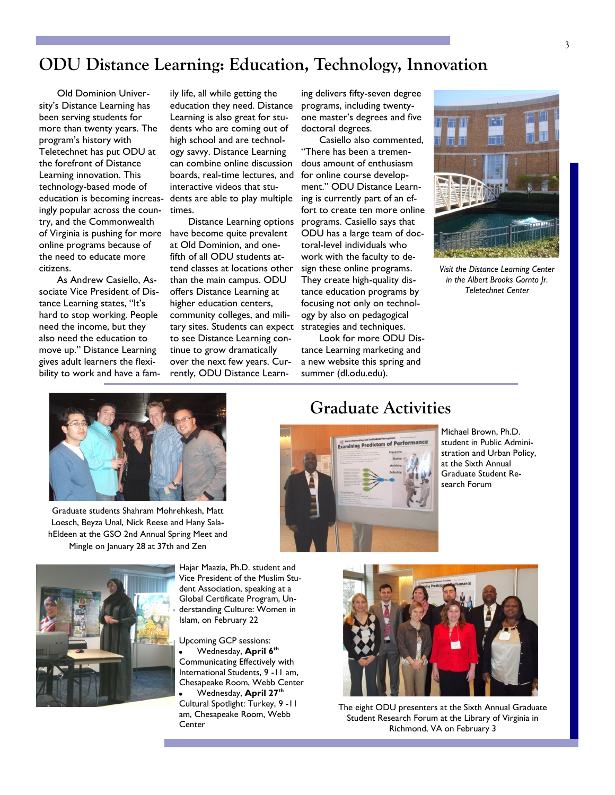#### **ODU Distance Learning: Education, Technology, Innovation**

Old Dominion University's Distance Learning has been serving students for more than twenty years. The program's history with Teletechnet has put ODU at the forefront of Distance Learning innovation. This technology-based mode of education is becoming increasingly popular across the country, and the Commonwealth of Virginia is pushing for more online programs because of the need to educate more citizens.

As Andrew Casiello, Associate Vice President of Distance Learning states, "It's hard to stop working. People need the income, but they also need the education to move up." Distance Learning gives adult learners the flexibility to work and have a fam-

ily life, all while getting the education they need. Distance Learning is also great for students who are coming out of high school and are technology savvy. Distance Learning can combine online discussion boards, real-time lectures, and interactive videos that students are able to play multiple times.

Distance Learning options have become quite prevalent at Old Dominion, and onefifth of all ODU students attend classes at locations other than the main campus. ODU offers Distance Learning at higher education centers, community colleges, and military sites. Students can expect to see Distance Learning continue to grow dramatically over the next few years. Currently, ODU Distance Learn-

ing delivers fifty-seven degree programs, including twentyone master's degrees and five doctoral degrees.

Casiello also commented, "There has been a tremendous amount of enthusiasm for online course development." ODU Distance Learning is currently part of an effort to create ten more online programs. Casiello says that ODU has a large team of doctoral-level individuals who work with the faculty to design these online programs. They create high-quality distance education programs by focusing not only on technology by also on pedagogical strategies and techniques.

Look for more ODU Distance Learning marketing and a new website this spring and summer (dl.odu.edu).



*Visit the Distance Learning Center in the Albert Brooks Gornto Jr. Teletechnet Center*



Graduate students Shahram Mohrehkesh, Matt Loesch, Beyza Unal, Nick Reese and Hany SalahEldeen at the GSO 2nd Annual Spring Meet and Mingle on January 28 at 37th and Zen



Hajar Maazia, Ph.D. student and Vice President of the Muslim Student Association, speaking at a Global Certificate Program, Understanding Culture: Women in Islam, on February 22

Upcoming GCP sessions: Wednesday, **April 6th** Communicating Effectively with International Students, 9 -11 am, Chesapeake Room, Webb Center Wednesday, **April 27th**

Cultural Spotlight: Turkey, 9 -11 am, Chesapeake Room, Webb Center

#### **Graduate Activities**



Michael Brown, Ph.D. student in Public Administration and Urban Policy, at the Sixth Annual Graduate Student Research Forum



The eight ODU presenters at the Sixth Annual Graduate Student Research Forum at the Library of Virginia in Richmond, VA on February 3